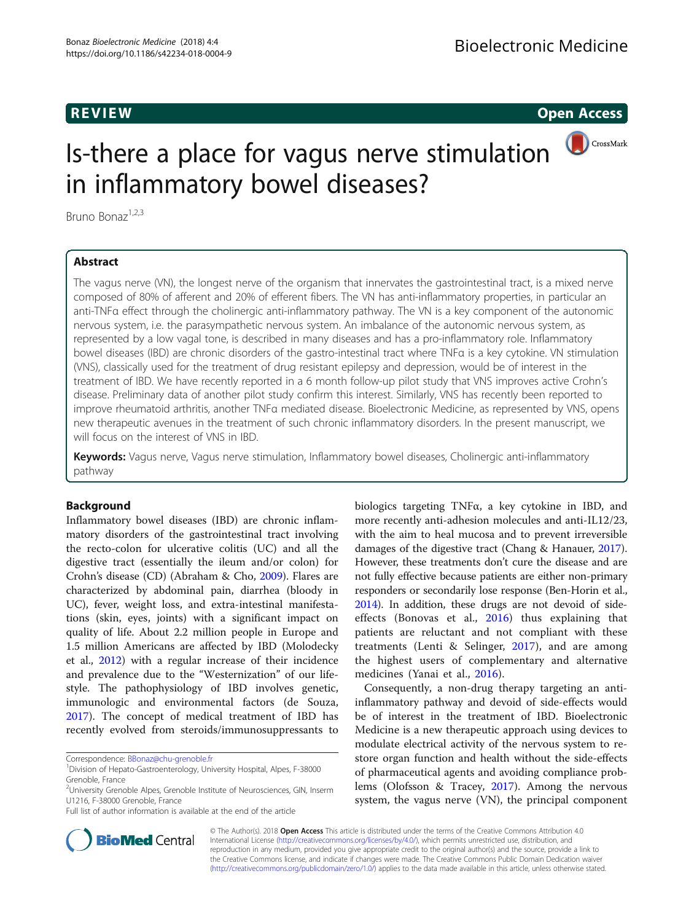R EVI EW Open Access

CrossMark

# Is-there a place for vagus nerve stimulation in inflammatory bowel diseases?

Bruno Bonaz<sup>1,2,3</sup>

## Abstract

The vagus nerve (VN), the longest nerve of the organism that innervates the gastrointestinal tract, is a mixed nerve composed of 80% of afferent and 20% of efferent fibers. The VN has anti-inflammatory properties, in particular an anti-TNFα effect through the cholinergic anti-inflammatory pathway. The VN is a key component of the autonomic nervous system, i.e. the parasympathetic nervous system. An imbalance of the autonomic nervous system, as represented by a low vagal tone, is described in many diseases and has a pro-inflammatory role. Inflammatory bowel diseases (IBD) are chronic disorders of the gastro-intestinal tract where TNFα is a key cytokine. VN stimulation (VNS), classically used for the treatment of drug resistant epilepsy and depression, would be of interest in the treatment of IBD. We have recently reported in a 6 month follow-up pilot study that VNS improves active Crohn's disease. Preliminary data of another pilot study confirm this interest. Similarly, VNS has recently been reported to improve rheumatoid arthritis, another TNFα mediated disease. Bioelectronic Medicine, as represented by VNS, opens new therapeutic avenues in the treatment of such chronic inflammatory disorders. In the present manuscript, we will focus on the interest of VNS in IBD.

Keywords: Vagus nerve, Vagus nerve stimulation, Inflammatory bowel diseases, Cholinergic anti-inflammatory pathway

## Background

Inflammatory bowel diseases (IBD) are chronic inflammatory disorders of the gastrointestinal tract involving the recto-colon for ulcerative colitis (UC) and all the digestive tract (essentially the ileum and/or colon) for Crohn's disease (CD) (Abraham & Cho, [2009\)](#page-6-0). Flares are characterized by abdominal pain, diarrhea (bloody in UC), fever, weight loss, and extra-intestinal manifestations (skin, eyes, joints) with a significant impact on quality of life. About 2.2 million people in Europe and 1.5 million Americans are affected by IBD (Molodecky et al., [2012\)](#page-7-0) with a regular increase of their incidence and prevalence due to the "Westernization" of our lifestyle. The pathophysiology of IBD involves genetic, immunologic and environmental factors (de Souza, [2017](#page-7-0)). The concept of medical treatment of IBD has recently evolved from steroids/immunosuppressants to

Correspondence: [BBonaz@chu-grenoble.fr](mailto:BBonaz@chu-grenoble.fr) <sup>1</sup>

biologics targeting TNFα, a key cytokine in IBD, and more recently anti-adhesion molecules and anti-IL12/23, with the aim to heal mucosa and to prevent irreversible damages of the digestive tract (Chang & Hanauer, [2017](#page-7-0)). However, these treatments don't cure the disease and are not fully effective because patients are either non-primary responders or secondarily lose response (Ben-Horin et al., [2014\)](#page-6-0). In addition, these drugs are not devoid of sideeffects (Bonovas et al., [2016](#page-7-0)) thus explaining that patients are reluctant and not compliant with these treatments (Lenti & Selinger, [2017\)](#page-7-0), and are among the highest users of complementary and alternative medicines (Yanai et al., [2016\)](#page-8-0).

Consequently, a non-drug therapy targeting an antiinflammatory pathway and devoid of side-effects would be of interest in the treatment of IBD. Bioelectronic Medicine is a new therapeutic approach using devices to modulate electrical activity of the nervous system to restore organ function and health without the side-effects of pharmaceutical agents and avoiding compliance problems (Olofsson & Tracey, [2017](#page-8-0)). Among the nervous system, the vagus nerve (VN), the principal component



© The Author(s). 2018 Open Access This article is distributed under the terms of the Creative Commons Attribution 4.0 International License [\(http://creativecommons.org/licenses/by/4.0/](http://creativecommons.org/licenses/by/4.0/)), which permits unrestricted use, distribution, and reproduction in any medium, provided you give appropriate credit to the original author(s) and the source, provide a link to the Creative Commons license, and indicate if changes were made. The Creative Commons Public Domain Dedication waiver [\(http://creativecommons.org/publicdomain/zero/1.0/](http://creativecommons.org/publicdomain/zero/1.0/)) applies to the data made available in this article, unless otherwise stated.

Division of Hepato-Gastroenterology, University Hospital, Alpes, F-38000 Grenoble, France

<sup>&</sup>lt;sup>2</sup>University Grenoble Alpes, Grenoble Institute of Neurosciences, GIN, Inserm U1216, F-38000 Grenoble, France

Full list of author information is available at the end of the article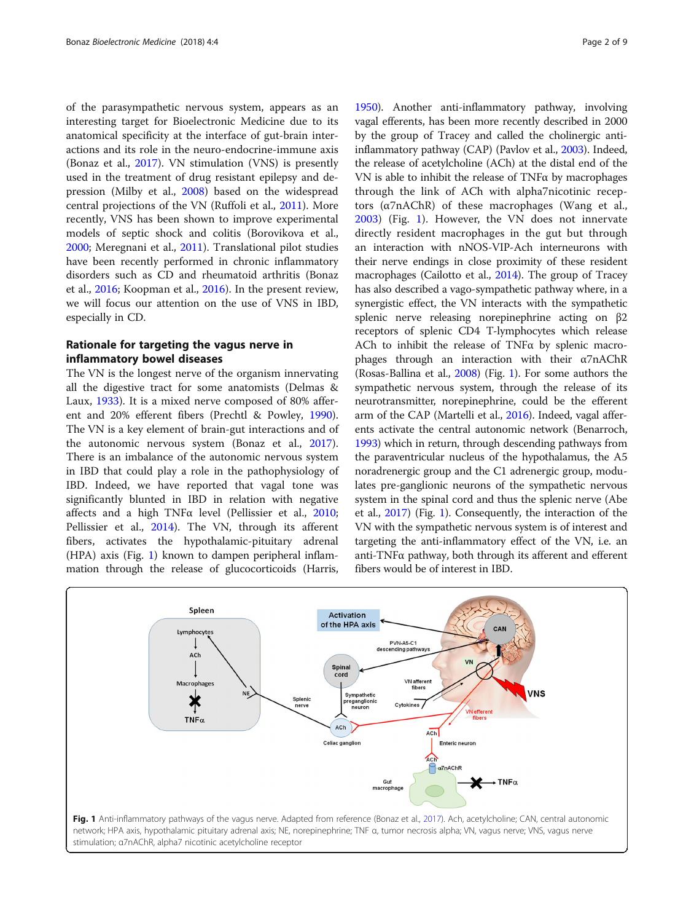of the parasympathetic nervous system, appears as an interesting target for Bioelectronic Medicine due to its anatomical specificity at the interface of gut-brain interactions and its role in the neuro-endocrine-immune axis (Bonaz et al., [2017](#page-7-0)). VN stimulation (VNS) is presently used in the treatment of drug resistant epilepsy and depression (Milby et al., [2008\)](#page-7-0) based on the widespread central projections of the VN (Ruffoli et al., [2011\)](#page-8-0). More recently, VNS has been shown to improve experimental models of septic shock and colitis (Borovikova et al., [2000](#page-7-0); Meregnani et al., [2011](#page-7-0)). Translational pilot studies have been recently performed in chronic inflammatory disorders such as CD and rheumatoid arthritis (Bonaz et al., [2016;](#page-7-0) Koopman et al., [2016](#page-7-0)). In the present review, we will focus our attention on the use of VNS in IBD, especially in CD.

## Rationale for targeting the vagus nerve in inflammatory bowel diseases

The VN is the longest nerve of the organism innervating all the digestive tract for some anatomists (Delmas & Laux, [1933](#page-7-0)). It is a mixed nerve composed of 80% afferent and 20% efferent fibers (Prechtl & Powley, [1990](#page-8-0)). The VN is a key element of brain-gut interactions and of the autonomic nervous system (Bonaz et al., [2017](#page-7-0)). There is an imbalance of the autonomic nervous system in IBD that could play a role in the pathophysiology of IBD. Indeed, we have reported that vagal tone was significantly blunted in IBD in relation with negative affects and a high TNF $\alpha$  level (Pellissier et al., [2010](#page-8-0); Pellissier et al., [2014](#page-8-0)). The VN, through its afferent fibers, activates the hypothalamic-pituitary adrenal (HPA) axis (Fig. 1) known to dampen peripheral inflammation through the release of glucocorticoids (Harris,

[1950\)](#page-7-0). Another anti-inflammatory pathway, involving vagal efferents, has been more recently described in 2000 by the group of Tracey and called the cholinergic antiinflammatory pathway (CAP) (Pavlov et al., [2003\)](#page-8-0). Indeed, the release of acetylcholine (ACh) at the distal end of the VN is able to inhibit the release of  $TNF\alpha$  by macrophages through the link of ACh with alpha7nicotinic receptors (α7nAChR) of these macrophages (Wang et al., [2003\)](#page-8-0) (Fig. 1). However, the VN does not innervate directly resident macrophages in the gut but through an interaction with nNOS-VIP-Ach interneurons with their nerve endings in close proximity of these resident macrophages (Cailotto et al., [2014](#page-7-0)). The group of Tracey has also described a vago-sympathetic pathway where, in a synergistic effect, the VN interacts with the sympathetic splenic nerve releasing norepinephrine acting on β2 receptors of splenic CD4 T-lymphocytes which release ACh to inhibit the release of TNFα by splenic macrophages through an interaction with their α7nAChR (Rosas-Ballina et al., [2008](#page-8-0)) (Fig. 1). For some authors the sympathetic nervous system, through the release of its neurotransmitter, norepinephrine, could be the efferent arm of the CAP (Martelli et al., [2016\)](#page-7-0). Indeed, vagal afferents activate the central autonomic network (Benarroch, [1993\)](#page-6-0) which in return, through descending pathways from the paraventricular nucleus of the hypothalamus, the A5 noradrenergic group and the C1 adrenergic group, modulates pre-ganglionic neurons of the sympathetic nervous system in the spinal cord and thus the splenic nerve (Abe et al., [2017\)](#page-6-0) (Fig. 1). Consequently, the interaction of the VN with the sympathetic nervous system is of interest and targeting the anti-inflammatory effect of the VN, i.e. an anti-TNFα pathway, both through its afferent and efferent fibers would be of interest in IBD.

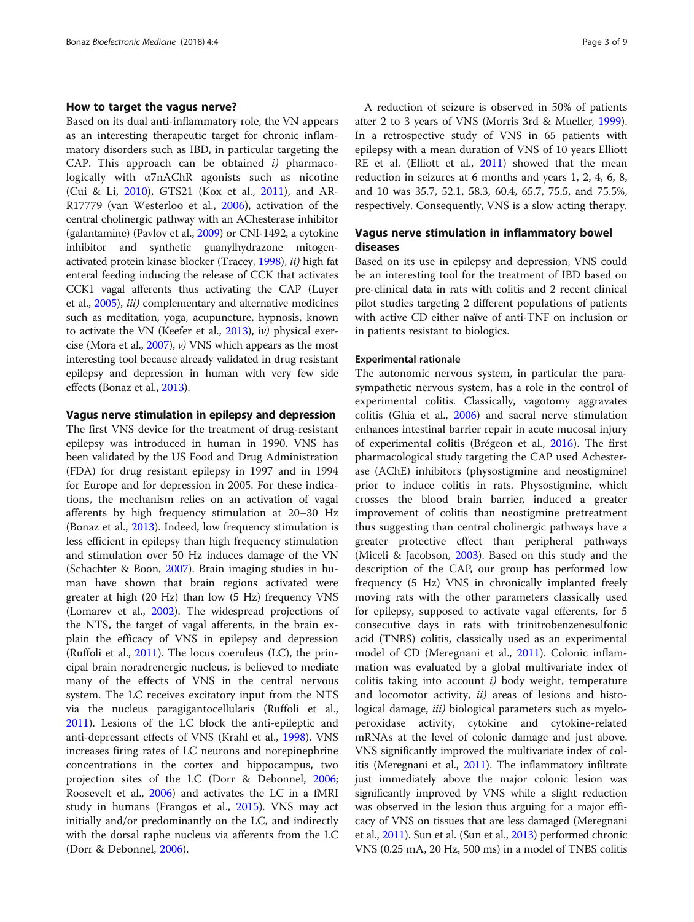## How to target the vagus nerve?

Based on its dual anti-inflammatory role, the VN appears as an interesting therapeutic target for chronic inflammatory disorders such as IBD, in particular targeting the CAP. This approach can be obtained  $i$ ) pharmacologically with α7nAChR agonists such as nicotine (Cui & Li, [2010\)](#page-7-0), GTS21 (Kox et al., [2011\)](#page-7-0), and AR-R17779 (van Westerloo et al., [2006\)](#page-8-0), activation of the central cholinergic pathway with an AChesterase inhibitor (galantamine) (Pavlov et al., [2009\)](#page-8-0) or CNI-1492, a cytokine inhibitor and synthetic guanylhydrazone mitogenactivated protein kinase blocker (Tracey, [1998](#page-8-0)), ii) high fat enteral feeding inducing the release of CCK that activates CCK1 vagal afferents thus activating the CAP (Luyer et al., [2005](#page-7-0)), iii) complementary and alternative medicines such as meditation, yoga, acupuncture, hypnosis, known to activate the VN (Keefer et al., [2013\)](#page-7-0), iv) physical exercise (Mora et al.,  $2007$ ),  $\nu$ ) VNS which appears as the most interesting tool because already validated in drug resistant epilepsy and depression in human with very few side effects (Bonaz et al., [2013\)](#page-7-0).

## Vagus nerve stimulation in epilepsy and depression

The first VNS device for the treatment of drug-resistant epilepsy was introduced in human in 1990. VNS has been validated by the US Food and Drug Administration (FDA) for drug resistant epilepsy in 1997 and in 1994 for Europe and for depression in 2005. For these indications, the mechanism relies on an activation of vagal afferents by high frequency stimulation at 20–30 Hz (Bonaz et al., [2013\)](#page-7-0). Indeed, low frequency stimulation is less efficient in epilepsy than high frequency stimulation and stimulation over 50 Hz induces damage of the VN (Schachter & Boon, [2007\)](#page-8-0). Brain imaging studies in human have shown that brain regions activated were greater at high (20 Hz) than low (5 Hz) frequency VNS (Lomarev et al., [2002\)](#page-7-0). The widespread projections of the NTS, the target of vagal afferents, in the brain explain the efficacy of VNS in epilepsy and depression (Ruffoli et al., [2011](#page-8-0)). The locus coeruleus (LC), the principal brain noradrenergic nucleus, is believed to mediate many of the effects of VNS in the central nervous system. The LC receives excitatory input from the NTS via the nucleus paragigantocellularis (Ruffoli et al., [2011](#page-8-0)). Lesions of the LC block the anti-epileptic and anti-depressant effects of VNS (Krahl et al., [1998](#page-7-0)). VNS increases firing rates of LC neurons and norepinephrine concentrations in the cortex and hippocampus, two projection sites of the LC (Dorr & Debonnel, [2006](#page-7-0); Roosevelt et al., [2006\)](#page-8-0) and activates the LC in a fMRI study in humans (Frangos et al., [2015](#page-7-0)). VNS may act initially and/or predominantly on the LC, and indirectly with the dorsal raphe nucleus via afferents from the LC (Dorr & Debonnel, [2006\)](#page-7-0).

A reduction of seizure is observed in 50% of patients after 2 to 3 years of VNS (Morris 3rd & Mueller, [1999](#page-7-0)). In a retrospective study of VNS in 65 patients with epilepsy with a mean duration of VNS of 10 years Elliott RE et al. (Elliott et al., [2011\)](#page-7-0) showed that the mean reduction in seizures at 6 months and years 1, 2, 4, 6, 8, and 10 was 35.7, 52.1, 58.3, 60.4, 65.7, 75.5, and 75.5%, respectively. Consequently, VNS is a slow acting therapy.

## Vagus nerve stimulation in inflammatory bowel diseases

Based on its use in epilepsy and depression, VNS could be an interesting tool for the treatment of IBD based on pre-clinical data in rats with colitis and 2 recent clinical pilot studies targeting 2 different populations of patients with active CD either naïve of anti-TNF on inclusion or in patients resistant to biologics.

## Experimental rationale

The autonomic nervous system, in particular the parasympathetic nervous system, has a role in the control of experimental colitis. Classically, vagotomy aggravates colitis (Ghia et al., [2006](#page-7-0)) and sacral nerve stimulation enhances intestinal barrier repair in acute mucosal injury of experimental colitis (Brégeon et al., [2016](#page-7-0)). The first pharmacological study targeting the CAP used Achesterase (AChE) inhibitors (physostigmine and neostigmine) prior to induce colitis in rats. Physostigmine, which crosses the blood brain barrier, induced a greater improvement of colitis than neostigmine pretreatment thus suggesting than central cholinergic pathways have a greater protective effect than peripheral pathways (Miceli & Jacobson, [2003\)](#page-7-0). Based on this study and the description of the CAP, our group has performed low frequency (5 Hz) VNS in chronically implanted freely moving rats with the other parameters classically used for epilepsy, supposed to activate vagal efferents, for 5 consecutive days in rats with trinitrobenzenesulfonic acid (TNBS) colitis, classically used as an experimental model of CD (Meregnani et al., [2011](#page-7-0)). Colonic inflammation was evaluated by a global multivariate index of colitis taking into account  $i$ ) body weight, temperature and locomotor activity, ii) areas of lesions and histological damage, *iii*) biological parameters such as myeloperoxidase activity, cytokine and cytokine-related mRNAs at the level of colonic damage and just above. VNS significantly improved the multivariate index of colitis (Meregnani et al., [2011](#page-7-0)). The inflammatory infiltrate just immediately above the major colonic lesion was significantly improved by VNS while a slight reduction was observed in the lesion thus arguing for a major efficacy of VNS on tissues that are less damaged (Meregnani et al., [2011](#page-7-0)). Sun et al. (Sun et al., [2013](#page-8-0)) performed chronic VNS (0.25 mA, 20 Hz, 500 ms) in a model of TNBS colitis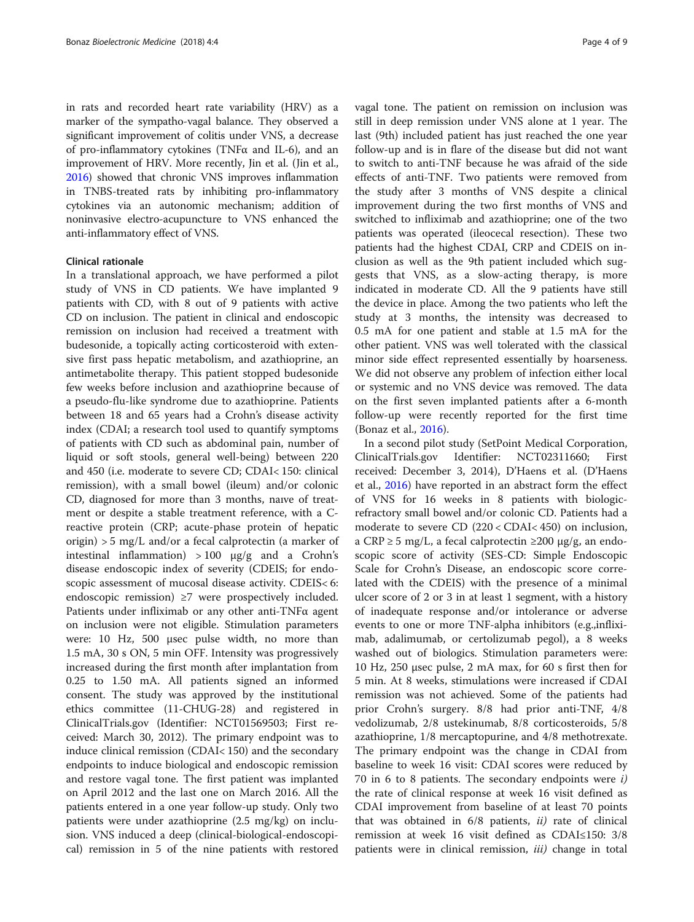in rats and recorded heart rate variability (HRV) as a marker of the sympatho-vagal balance. They observed a significant improvement of colitis under VNS, a decrease of pro-inflammatory cytokines (TNFα and IL-6), and an improvement of HRV. More recently, Jin et al. (Jin et al., [2016\)](#page-7-0) showed that chronic VNS improves inflammation in TNBS-treated rats by inhibiting pro-inflammatory cytokines via an autonomic mechanism; addition of noninvasive electro-acupuncture to VNS enhanced the anti-inflammatory effect of VNS.

## Clinical rationale

In a translational approach, we have performed a pilot study of VNS in CD patients. We have implanted 9 patients with CD, with 8 out of 9 patients with active CD on inclusion. The patient in clinical and endoscopic remission on inclusion had received a treatment with budesonide, a topically acting corticosteroid with extensive first pass hepatic metabolism, and azathioprine, an antimetabolite therapy. This patient stopped budesonide few weeks before inclusion and azathioprine because of a pseudo-flu-like syndrome due to azathioprine. Patients between 18 and 65 years had a Crohn's disease activity index (CDAI; a research tool used to quantify symptoms of patients with CD such as abdominal pain, number of liquid or soft stools, general well-being) between 220 and 450 (i.e. moderate to severe CD; CDAI< 150: clinical remission), with a small bowel (ileum) and/or colonic CD, diagnosed for more than 3 months, naıve of treatment or despite a stable treatment reference, with a Creactive protein (CRP; acute-phase protein of hepatic origin) > 5 mg/L and/or a fecal calprotectin (a marker of intestinal inflammation)  $>100 \mu g/g$  and a Crohn's disease endoscopic index of severity (CDEIS; for endoscopic assessment of mucosal disease activity. CDEIS< 6: endoscopic remission) ≥7 were prospectively included. Patients under infliximab or any other anti-TNFα agent on inclusion were not eligible. Stimulation parameters were: 10 Hz, 500 μsec pulse width, no more than 1.5 mA, 30 s ON, 5 min OFF. Intensity was progressively increased during the first month after implantation from 0.25 to 1.50 mA. All patients signed an informed consent. The study was approved by the institutional ethics committee (11-CHUG-28) and registered in ClinicalTrials.gov (Identifier: NCT01569503; First received: March 30, 2012). The primary endpoint was to induce clinical remission (CDAI< 150) and the secondary endpoints to induce biological and endoscopic remission and restore vagal tone. The first patient was implanted on April 2012 and the last one on March 2016. All the patients entered in a one year follow-up study. Only two patients were under azathioprine (2.5 mg/kg) on inclusion. VNS induced a deep (clinical-biological-endoscopical) remission in 5 of the nine patients with restored vagal tone. The patient on remission on inclusion was still in deep remission under VNS alone at 1 year. The last (9th) included patient has just reached the one year follow-up and is in flare of the disease but did not want to switch to anti-TNF because he was afraid of the side effects of anti-TNF. Two patients were removed from the study after 3 months of VNS despite a clinical improvement during the two first months of VNS and switched to infliximab and azathioprine; one of the two patients was operated (ileocecal resection). These two patients had the highest CDAI, CRP and CDEIS on inclusion as well as the 9th patient included which suggests that VNS, as a slow-acting therapy, is more indicated in moderate CD. All the 9 patients have still the device in place. Among the two patients who left the study at 3 months, the intensity was decreased to 0.5 mA for one patient and stable at 1.5 mA for the other patient. VNS was well tolerated with the classical minor side effect represented essentially by hoarseness. We did not observe any problem of infection either local or systemic and no VNS device was removed. The data on the first seven implanted patients after a 6-month follow-up were recently reported for the first time (Bonaz et al., [2016](#page-7-0)).

In a second pilot study (SetPoint Medical Corporation, ClinicalTrials.gov Identifier: NCT02311660; First received: December 3, 2014), D'Haens et al. (D'Haens et al., [2016\)](#page-7-0) have reported in an abstract form the effect of VNS for 16 weeks in 8 patients with biologicrefractory small bowel and/or colonic CD. Patients had a moderate to severe CD (220 < CDAI< 450) on inclusion, a CRP  $\geq$  5 mg/L, a fecal calprotectin  $\geq$ 200 μg/g, an endoscopic score of activity (SES-CD: Simple Endoscopic Scale for Crohn's Disease, an endoscopic score correlated with the CDEIS) with the presence of a minimal ulcer score of 2 or 3 in at least 1 segment, with a history of inadequate response and/or intolerance or adverse events to one or more TNF-alpha inhibitors (e.g.,infliximab, adalimumab, or certolizumab pegol), a 8 weeks washed out of biologics. Stimulation parameters were: 10 Hz, 250 μsec pulse, 2 mA max, for 60 s first then for 5 min. At 8 weeks, stimulations were increased if CDAI remission was not achieved. Some of the patients had prior Crohn's surgery. 8/8 had prior anti-TNF, 4/8 vedolizumab, 2/8 ustekinumab, 8/8 corticosteroids, 5/8 azathioprine, 1/8 mercaptopurine, and 4/8 methotrexate. The primary endpoint was the change in CDAI from baseline to week 16 visit: CDAI scores were reduced by 70 in 6 to 8 patients. The secondary endpoints were  $i$ ) the rate of clinical response at week 16 visit defined as CDAI improvement from baseline of at least 70 points that was obtained in  $6/8$  patients,  $ii)$  rate of clinical remission at week 16 visit defined as CDAI≤150: 3/8 patients were in clinical remission, *iii*) change in total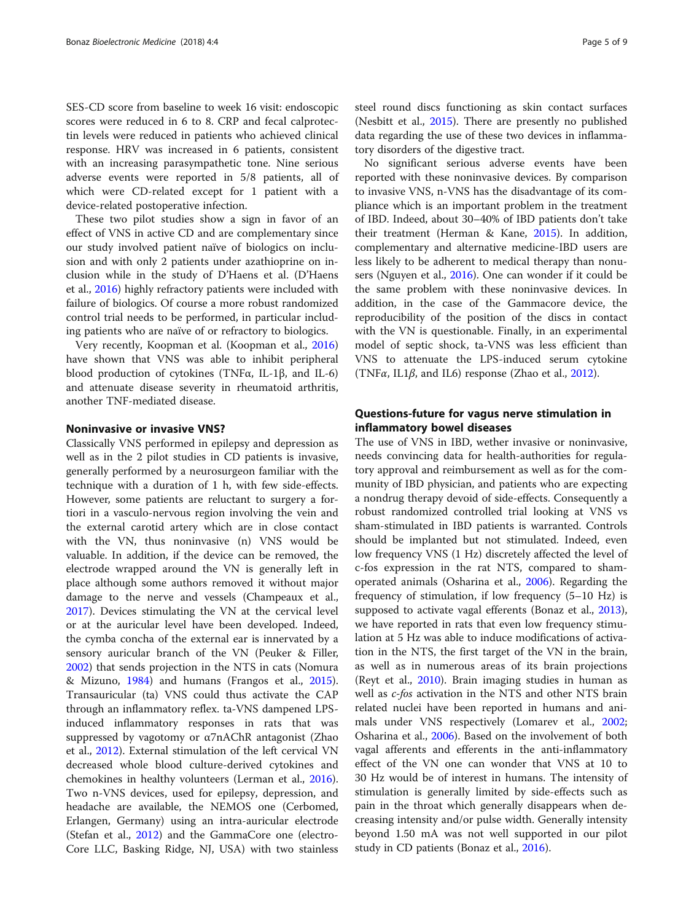SES-CD score from baseline to week 16 visit: endoscopic scores were reduced in 6 to 8. CRP and fecal calprotectin levels were reduced in patients who achieved clinical response. HRV was increased in 6 patients, consistent with an increasing parasympathetic tone. Nine serious adverse events were reported in 5/8 patients, all of which were CD-related except for 1 patient with a device-related postoperative infection.

These two pilot studies show a sign in favor of an effect of VNS in active CD and are complementary since our study involved patient naïve of biologics on inclusion and with only 2 patients under azathioprine on inclusion while in the study of D'Haens et al. (D'Haens et al., [2016\)](#page-7-0) highly refractory patients were included with failure of biologics. Of course a more robust randomized control trial needs to be performed, in particular including patients who are naïve of or refractory to biologics.

Very recently, Koopman et al. (Koopman et al., [2016](#page-7-0)) have shown that VNS was able to inhibit peripheral blood production of cytokines (TNFα, IL-1β, and IL-6) and attenuate disease severity in rheumatoid arthritis, another TNF-mediated disease.

## Noninvasive or invasive VNS?

Classically VNS performed in epilepsy and depression as well as in the 2 pilot studies in CD patients is invasive, generally performed by a neurosurgeon familiar with the technique with a duration of 1 h, with few side-effects. However, some patients are reluctant to surgery a fortiori in a vasculo-nervous region involving the vein and the external carotid artery which are in close contact with the VN, thus noninvasive (n) VNS would be valuable. In addition, if the device can be removed, the electrode wrapped around the VN is generally left in place although some authors removed it without major damage to the nerve and vessels (Champeaux et al., [2017](#page-7-0)). Devices stimulating the VN at the cervical level or at the auricular level have been developed. Indeed, the cymba concha of the external ear is innervated by a sensory auricular branch of the VN (Peuker & Filler, [2002](#page-8-0)) that sends projection in the NTS in cats (Nomura & Mizuno, [1984](#page-8-0)) and humans (Frangos et al., [2015](#page-7-0)). Transauricular (ta) VNS could thus activate the CAP through an inflammatory reflex. ta-VNS dampened LPSinduced inflammatory responses in rats that was suppressed by vagotomy or α7nAChR antagonist (Zhao et al., [2012\)](#page-8-0). External stimulation of the left cervical VN decreased whole blood culture-derived cytokines and chemokines in healthy volunteers (Lerman et al., [2016](#page-7-0)). Two n-VNS devices, used for epilepsy, depression, and headache are available, the NEMOS one (Cerbomed, Erlangen, Germany) using an intra-auricular electrode (Stefan et al., [2012](#page-8-0)) and the GammaCore one (electro-Core LLC, Basking Ridge, NJ, USA) with two stainless steel round discs functioning as skin contact surfaces (Nesbitt et al., [2015\)](#page-7-0). There are presently no published data regarding the use of these two devices in inflammatory disorders of the digestive tract.

No significant serious adverse events have been reported with these noninvasive devices. By comparison to invasive VNS, n-VNS has the disadvantage of its compliance which is an important problem in the treatment of IBD. Indeed, about 30–40% of IBD patients don't take their treatment (Herman & Kane, [2015\)](#page-7-0). In addition, complementary and alternative medicine-IBD users are less likely to be adherent to medical therapy than nonusers (Nguyen et al., [2016\)](#page-8-0). One can wonder if it could be the same problem with these noninvasive devices. In addition, in the case of the Gammacore device, the reproducibility of the position of the discs in contact with the VN is questionable. Finally, in an experimental model of septic shock, ta-VNS was less efficient than VNS to attenuate the LPS-induced serum cytokine (TNF $\alpha$ , IL1 $\beta$ , and IL6) response (Zhao et al., [2012](#page-8-0)).

## Questions-future for vagus nerve stimulation in inflammatory bowel diseases

The use of VNS in IBD, wether invasive or noninvasive, needs convincing data for health-authorities for regulatory approval and reimbursement as well as for the community of IBD physician, and patients who are expecting a nondrug therapy devoid of side-effects. Consequently a robust randomized controlled trial looking at VNS vs sham-stimulated in IBD patients is warranted. Controls should be implanted but not stimulated. Indeed, even low frequency VNS (1 Hz) discretely affected the level of c-fos expression in the rat NTS, compared to shamoperated animals (Osharina et al., [2006](#page-8-0)). Regarding the frequency of stimulation, if low frequency (5–10 Hz) is supposed to activate vagal efferents (Bonaz et al., [2013](#page-7-0)), we have reported in rats that even low frequency stimulation at 5 Hz was able to induce modifications of activation in the NTS, the first target of the VN in the brain, as well as in numerous areas of its brain projections (Reyt et al., [2010](#page-8-0)). Brain imaging studies in human as well as c-fos activation in the NTS and other NTS brain related nuclei have been reported in humans and animals under VNS respectively (Lomarev et al., [2002](#page-7-0); Osharina et al., [2006\)](#page-8-0). Based on the involvement of both vagal afferents and efferents in the anti-inflammatory effect of the VN one can wonder that VNS at 10 to 30 Hz would be of interest in humans. The intensity of stimulation is generally limited by side-effects such as pain in the throat which generally disappears when decreasing intensity and/or pulse width. Generally intensity beyond 1.50 mA was not well supported in our pilot study in CD patients (Bonaz et al., [2016\)](#page-7-0).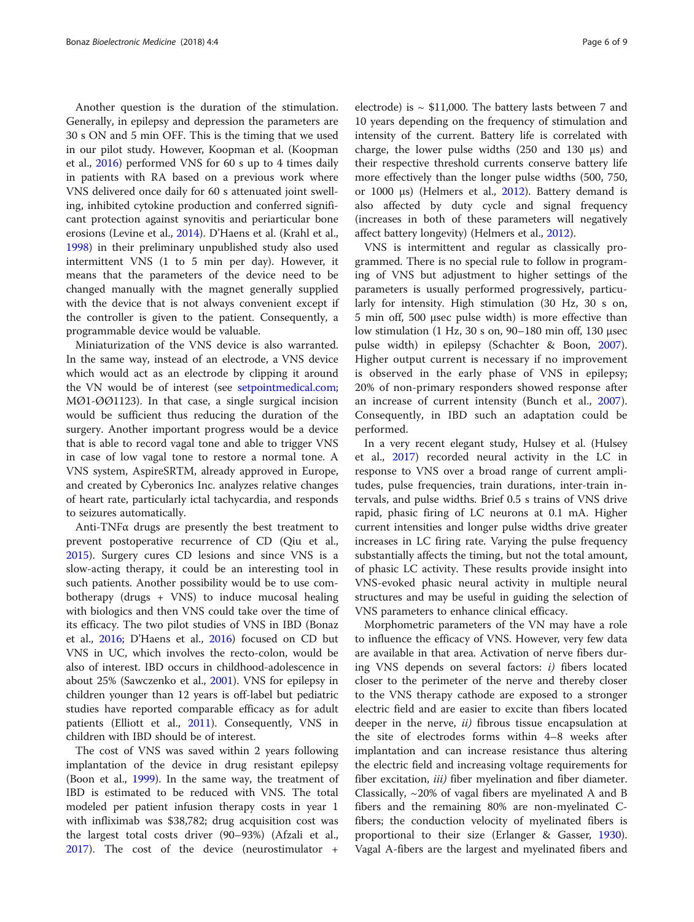Another question is the duration of the stimulation. Generally, in epilepsy and depression the parameters are 30 s ON and 5 min OFF. This is the timing that we used in our pilot study. However, Koopman et al. (Koopman et al., [2016\)](#page-7-0) performed VNS for 60 s up to 4 times daily in patients with RA based on a previous work where VNS delivered once daily for 60 s attenuated joint swelling, inhibited cytokine production and conferred significant protection against synovitis and periarticular bone erosions (Levine et al., [2014](#page-7-0)). D'Haens et al. (Krahl et al., [1998](#page-7-0)) in their preliminary unpublished study also used intermittent VNS (1 to 5 min per day). However, it means that the parameters of the device need to be changed manually with the magnet generally supplied with the device that is not always convenient except if the controller is given to the patient. Consequently, a programmable device would be valuable.

Miniaturization of the VNS device is also warranted. In the same way, instead of an electrode, a VNS device which would act as an electrode by clipping it around the VN would be of interest (see [setpointmedical.com](http://setpointmedical.com); MØ1-ØØ1123). In that case, a single surgical incision would be sufficient thus reducing the duration of the surgery. Another important progress would be a device that is able to record vagal tone and able to trigger VNS in case of low vagal tone to restore a normal tone. A VNS system, AspireSRTM, already approved in Europe, and created by Cyberonics Inc. analyzes relative changes of heart rate, particularly ictal tachycardia, and responds to seizures automatically.

Anti-TNFα drugs are presently the best treatment to prevent postoperative recurrence of CD (Qiu et al., [2015](#page-8-0)). Surgery cures CD lesions and since VNS is a slow-acting therapy, it could be an interesting tool in such patients. Another possibility would be to use combotherapy (drugs + VNS) to induce mucosal healing with biologics and then VNS could take over the time of its efficacy. The two pilot studies of VNS in IBD (Bonaz et al., [2016;](#page-7-0) D'Haens et al., [2016](#page-7-0)) focused on CD but VNS in UC, which involves the recto-colon, would be also of interest. IBD occurs in childhood-adolescence in about 25% (Sawczenko et al., [2001](#page-8-0)). VNS for epilepsy in children younger than 12 years is off-label but pediatric studies have reported comparable efficacy as for adult patients (Elliott et al., [2011](#page-7-0)). Consequently, VNS in children with IBD should be of interest.

The cost of VNS was saved within 2 years following implantation of the device in drug resistant epilepsy (Boon et al., [1999](#page-7-0)). In the same way, the treatment of IBD is estimated to be reduced with VNS. The total modeled per patient infusion therapy costs in year 1 with infliximab was \$38,782; drug acquisition cost was the largest total costs driver (90–93%) (Afzali et al., [2017](#page-6-0)). The cost of the device (neurostimulator +

electrode) is  $\sim$  \$11,000. The battery lasts between 7 and 10 years depending on the frequency of stimulation and intensity of the current. Battery life is correlated with charge, the lower pulse widths (250 and 130 μs) and their respective threshold currents conserve battery life more effectively than the longer pulse widths (500, 750, or 1000 μs) (Helmers et al., [2012](#page-7-0)). Battery demand is also affected by duty cycle and signal frequency (increases in both of these parameters will negatively affect battery longevity) (Helmers et al., [2012](#page-7-0)).

VNS is intermittent and regular as classically programmed. There is no special rule to follow in programing of VNS but adjustment to higher settings of the parameters is usually performed progressively, particularly for intensity. High stimulation (30 Hz, 30 s on, 5 min off, 500 μsec pulse width) is more effective than low stimulation (1 Hz, 30 s on, 90–180 min off, 130 μsec pulse width) in epilepsy (Schachter & Boon, [2007](#page-8-0)). Higher output current is necessary if no improvement is observed in the early phase of VNS in epilepsy; 20% of non-primary responders showed response after an increase of current intensity (Bunch et al., [2007](#page-7-0)). Consequently, in IBD such an adaptation could be performed.

In a very recent elegant study, Hulsey et al. (Hulsey et al., [2017\)](#page-7-0) recorded neural activity in the LC in response to VNS over a broad range of current amplitudes, pulse frequencies, train durations, inter-train intervals, and pulse widths. Brief 0.5 s trains of VNS drive rapid, phasic firing of LC neurons at 0.1 mA. Higher current intensities and longer pulse widths drive greater increases in LC firing rate. Varying the pulse frequency substantially affects the timing, but not the total amount, of phasic LC activity. These results provide insight into VNS-evoked phasic neural activity in multiple neural structures and may be useful in guiding the selection of VNS parameters to enhance clinical efficacy.

Morphometric parameters of the VN may have a role to influence the efficacy of VNS. However, very few data are available in that area. Activation of nerve fibers during VNS depends on several factors:  $i$ ) fibers located closer to the perimeter of the nerve and thereby closer to the VNS therapy cathode are exposed to a stronger electric field and are easier to excite than fibers located deeper in the nerve,  $ii$ ) fibrous tissue encapsulation at the site of electrodes forms within 4–8 weeks after implantation and can increase resistance thus altering the electric field and increasing voltage requirements for fiber excitation, *iii*) fiber myelination and fiber diameter. Classically,  $\sim$ 20% of vagal fibers are myelinated A and B fibers and the remaining 80% are non-myelinated Cfibers; the conduction velocity of myelinated fibers is proportional to their size (Erlanger & Gasser, [1930](#page-7-0)). Vagal A-fibers are the largest and myelinated fibers and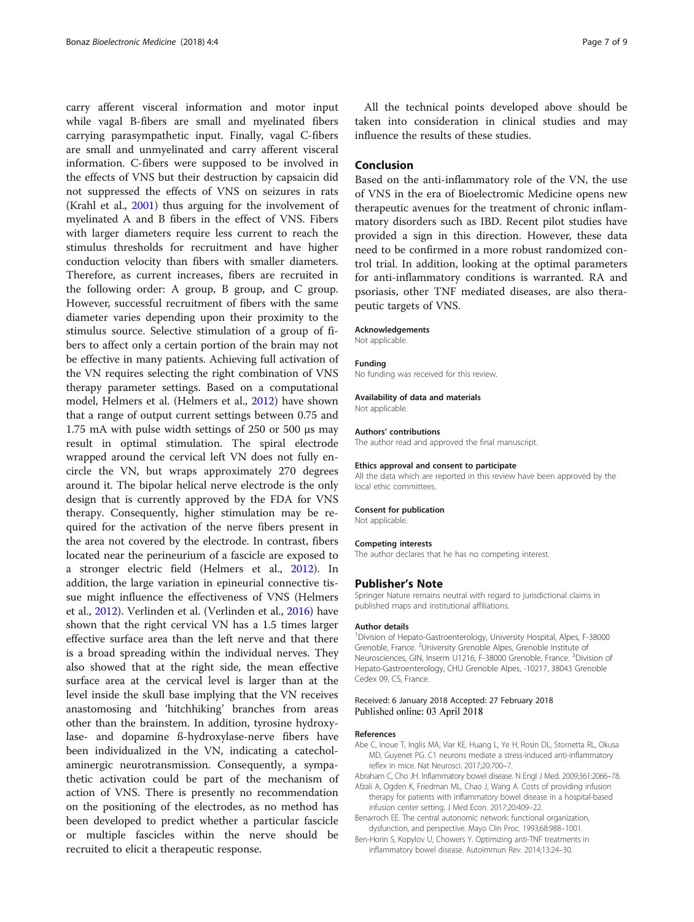<span id="page-6-0"></span>carry afferent visceral information and motor input while vagal B-fibers are small and myelinated fibers carrying parasympathetic input. Finally, vagal C-fibers are small and unmyelinated and carry afferent visceral information. C-fibers were supposed to be involved in the effects of VNS but their destruction by capsaicin did not suppressed the effects of VNS on seizures in rats (Krahl et al., [2001\)](#page-7-0) thus arguing for the involvement of myelinated A and B fibers in the effect of VNS. Fibers with larger diameters require less current to reach the stimulus thresholds for recruitment and have higher conduction velocity than fibers with smaller diameters. Therefore, as current increases, fibers are recruited in the following order: A group, B group, and C group. However, successful recruitment of fibers with the same diameter varies depending upon their proximity to the stimulus source. Selective stimulation of a group of fibers to affect only a certain portion of the brain may not be effective in many patients. Achieving full activation of the VN requires selecting the right combination of VNS therapy parameter settings. Based on a computational model, Helmers et al. (Helmers et al., [2012\)](#page-7-0) have shown that a range of output current settings between 0.75 and 1.75 mA with pulse width settings of 250 or 500 μs may result in optimal stimulation. The spiral electrode wrapped around the cervical left VN does not fully encircle the VN, but wraps approximately 270 degrees around it. The bipolar helical nerve electrode is the only design that is currently approved by the FDA for VNS therapy. Consequently, higher stimulation may be required for the activation of the nerve fibers present in the area not covered by the electrode. In contrast, fibers located near the perineurium of a fascicle are exposed to a stronger electric field (Helmers et al., [2012](#page-7-0)). In addition, the large variation in epineurial connective tissue might influence the effectiveness of VNS (Helmers et al., [2012\)](#page-7-0). Verlinden et al. (Verlinden et al., [2016\)](#page-8-0) have shown that the right cervical VN has a 1.5 times larger effective surface area than the left nerve and that there is a broad spreading within the individual nerves. They also showed that at the right side, the mean effective surface area at the cervical level is larger than at the level inside the skull base implying that the VN receives anastomosing and 'hitchhiking' branches from areas other than the brainstem. In addition, tyrosine hydroxylase- and dopamine ß-hydroxylase-nerve fibers have been individualized in the VN, indicating a catecholaminergic neurotransmission. Consequently, a sympathetic activation could be part of the mechanism of action of VNS. There is presently no recommendation on the positioning of the electrodes, as no method has been developed to predict whether a particular fascicle or multiple fascicles within the nerve should be recruited to elicit a therapeutic response.

All the technical points developed above should be taken into consideration in clinical studies and may influence the results of these studies.

## Conclusion

Based on the anti-inflammatory role of the VN, the use of VNS in the era of Bioelectromic Medicine opens new therapeutic avenues for the treatment of chronic inflammatory disorders such as IBD. Recent pilot studies have provided a sign in this direction. However, these data need to be confirmed in a more robust randomized control trial. In addition, looking at the optimal parameters for anti-inflammatory conditions is warranted. RA and psoriasis, other TNF mediated diseases, are also therapeutic targets of VNS.

#### Acknowledgements

Not applicable.

#### Funding

No funding was received for this review.

#### Availability of data and materials

Not applicable.

#### Authors' contributions

The author read and approved the final manuscript.

#### Ethics approval and consent to participate

All the data which are reported in this review have been approved by the local ethic committees.

#### Consent for publication

Not applicable.

#### Competing interests

The author declares that he has no competing interest.

#### Publisher's Note

Springer Nature remains neutral with regard to jurisdictional claims in published maps and institutional affiliations.

#### Author details

<sup>1</sup> Division of Hepato-Gastroenterology, University Hospital, Alpes, F-38000 Grenoble, France. <sup>2</sup>University Grenoble Alpes, Grenoble Institute of Neurosciences, GIN, Inserm U1216, F-38000 Grenoble, France. <sup>3</sup>Division of Hepato-Gastroenterology, CHU Grenoble Alpes, -10217, 38043 Grenoble Cedex 09, CS, France.

### Received: 6 January 2018 Accepted: 27 February 2018 Published online: 03 April 2018

#### References

- Abe C, Inoue T, Inglis MA, Viar KE, Huang L, Ye H, Rosin DL, Stornetta RL, Okusa MD, Guyenet PG. C1 neurons mediate a stress-induced anti-inflammatory reflex in mice. Nat Neurosci. 2017;20:700–7.
- Abraham C, Cho JH. Inflammatory bowel disease. N Engl J Med. 2009;361:2066–78. Afzali A, Ogden K, Friedman ML, Chao J, Wang A. Costs of providing infusion
- therapy for patients with inflammatory bowel disease in a hospital-based infusion center setting. J Med Econ. 2017;20:409–22. Benarroch EE. The central autonomic network: functional organization,
- dysfunction, and perspective. Mayo Clin Proc. 1993;68:988–1001.
- Ben-Horin S, Kopylov U, Chowers Y. Optimizing anti-TNF treatments in inflammatory bowel disease. Autoimmun Rev. 2014;13:24–30.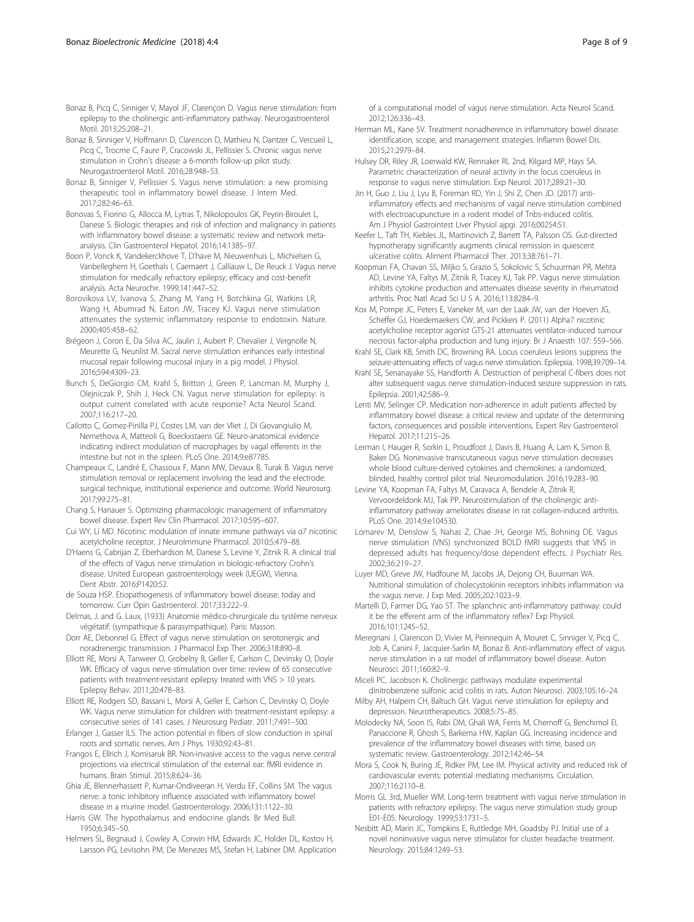- <span id="page-7-0"></span>Bonaz B, Sinniger V, Hoffmann D, Clarencon D, Mathieu N, Dantzer C, Vercueil L, Picq C, Trocme C, Faure P, Cracowski JL, Pellissier S. Chronic vagus nerve stimulation in Crohn's disease: a 6-month follow-up pilot study. Neurogastroenterol Motil. 2016;28:948–53.
- Bonaz B, Sinniger V, Pellissier S. Vagus nerve stimulation: a new promising therapeutic tool in inflammatory bowel disease. J Intern Med. 2017;282:46–63.
- Bonovas S, Fiorino G, Allocca M, Lytras T, Nikolopoulos GK, Peyrin-Biroulet L, Danese S. Biologic therapies and risk of infection and malignancy in patients with inflammatory bowel disease: a systematic review and network metaanalysis. Clin Gastroenterol Hepatol. 2016;14:1385–97.
- Boon P, Vonck K, Vandekerckhove T, D'have M, Nieuwenhuis L, Michielsen G, Vanbelleghem H, Goethals I, Caemaert J, Calliauw L, De Reuck J. Vagus nerve stimulation for medically refractory epilepsy; efficacy and cost-benefit analysis. Acta Neurochir. 1999;141:447–52.
- Borovikova LV, Ivanova S, Zhang M, Yang H, Botchkina GI, Watkins LR, Wang H, Abumrad N, Eaton JW, Tracey KJ. Vagus nerve stimulation attenuates the systemic inflammatory response to endotoxin. Nature. 2000;405:458–62.
- Brégeon J, Coron E, Da Silva AC, Jaulin J, Aubert P, Chevalier J, Vergnolle N, Meurette G, Neunlist M. Sacral nerve stimulation enhances early intestinal mucosal repair following mucosal injury in a pig model. J Physiol. 2016;594:4309–23.
- Bunch S, DeGiorgio CM, Krahl S, Britton J, Green P, Lancman M, Murphy J, Olejniczak P, Shih J, Heck CN. Vagus nerve stimulation for epilepsy: is output current correlated with acute response? Acta Neurol Scand. 2007;116:217–20.
- Cailotto C, Gomez-Pinilla PJ, Costes LM, van der Vliet J, Di Giovangiulio M, Nemethova A, Matteoli G, Boeckxstaens GE. Neuro-anatomical evidence indicating indirect modulation of macrophages by vagal efferents in the intestine but not in the spleen. PLoS One. 2014;9:e87785.
- Champeaux C, Landré E, Chassoux F, Mann MW, Devaux B, Turak B. Vagus nerve stimulation removal or replacement involving the lead and the electrode: surgical technique, institutional experience and outcome. World Neurosurg. 2017;99:275–81.
- Chang S, Hanauer S. Optimizing pharmacologic management of inflammatory bowel disease. Expert Rev Clin Pharmacol. 2017;10:595–607.
- Cui WY, Li MD. Nicotinic modulation of innate immune pathways via α7 nicotinic acetylcholine receptor. J NeuroImmune Pharmacol. 2010;5:479–88.
- D'Haens G, Cabrijan Z, Eberhardson M, Danese S, Levine Y, Zitnik R. A clinical trial of the effects of Vagus nerve stimulation in biologic-refractory Crohn's disease. United European gastroenterology week (UEGW), Vienna. Dent Abstr. 2016;P1420:52.
- de Souza HSP. Etiopathogenesis of inflammatory bowel disease: today and tomorrow. Curr Opin Gastroenterol. 2017;33:222–9.
- Delmas, J. and G. Laux, (1933) Anatomie médico-chirurgicale du système nerveux végétatif: (sympathique & parasympathique). Paris: Masson.
- Dorr AE, Debonnel G. Effect of vagus nerve stimulation on serotonergic and noradrenergic transmission. J Pharmacol Exp Ther. 2006;318:890–8.
- Elliott RE, Morsi A, Tanweer O, Grobelny B, Geller E, Carlson C, Devinsky O, Doyle WK. Efficacy of vagus nerve stimulation over time: review of 65 consecutive patients with treatment-resistant epilepsy treated with VNS > 10 years. Epilepsy Behav. 2011;20:478–83.
- Elliott RE, Rodgers SD, Bassani L, Morsi A, Geller E, Carlson C, Devinsky O, Doyle WK. Vagus nerve stimulation for children with treatment-resistant epilepsy: a consecutive series of 141 cases. J Neurosurg Pediatr. 2011;7:491–500.
- Erlanger J, Gasser ILS. The action potential in fibers of slow conduction in spinal roots and somatic nerves. Am J Phys. 1930;92:43–81.
- Frangos E, Ellrich J, Komisaruk BR. Non-invasive access to the vagus nerve central projections via electrical stimulation of the external ear: fMRI evidence in humans. Brain Stimul. 2015;8:624–36.
- Ghia JE, Blennerhassett P, Kumar-Ondiveeran H, Verdu EF, Collins SM. The vagus nerve: a tonic inhibitory influence associated with inflammatory bowel disease in a murine model. Gastroenterology. 2006;131:1122–30.
- Harris GW. The hypothalamus and endocrine glands. Br Med Bull. 1950;6:345–50.
- Helmers SL, Begnaud J, Cowley A, Corwin HM, Edwards JC, Holder DL, Kostov H, Larsson PG, Levisohn PM, De Menezes MS, Stefan H, Labiner DM. Application

of a computational model of vagus nerve stimulation. Acta Neurol Scand. 2012;126:336–43.

- Herman ML, Kane SV. Treatment nonadherence in inflammatory bowel disease: identification, scope, and management strategies. Inflamm Bowel Dis. 2015;21:2979–84.
- Hulsey DR, Riley JR, Loerwald KW, Rennaker RL 2nd, Kilgard MP, Hays SA. Parametric characterization of neural activity in the locus coeruleus in response to vagus nerve stimulation. Exp Neurol. 2017;289:21–30.
- Jin H, Guo J, Liu J, Lyu B, Foreman RD, Yin J, Shi Z, Chen JD. (2017) antiinflammatory effects and mechanisms of vagal nerve stimulation combined with electroacupuncture in a rodent model of Tnbs-induced colitis. Am J Physiol Gastrointest Liver Physiol ajpgi. 2016;00254:51.
- Keefer L, Taft TH, Kiebles JL, Martinovich Z, Barrett TA, Palsson OS. Gut-directed hypnotherapy significantly augments clinical remission in quiescent ulcerative colitis. Aliment Pharmacol Ther. 2013;38:761–71.
- Koopman FA, Chavan SS, Miljko S, Grazio S, Sokolovic S, Schuurman PR, Mehta AD, Levine YA, Faltys M, Zitnik R, Tracey KJ, Tak PP. Vagus nerve stimulation inhibits cytokine production and attenuates disease severity in rheumatoid arthritis. Proc Natl Acad Sci U S A. 2016;113:8284–9.
- Kox M, Pompe JC, Peters E, Vaneker M, van der Laak JW, van der Hoeven JG, Scheffer GJ, Hoedemaekers CW, and Pickkers P. (2011) Alpha7 nicotinic acetylcholine receptor agonist GTS-21 attenuates ventilator-induced tumour necrosis factor-alpha production and lung injury. Br J Anaesth 107: 559–566.
- Krahl SE, Clark KB, Smith DC, Browning RA. Locus coeruleus lesions suppress the seizure-attenuating effects of vagus nerve stimulation. Epilepsia. 1998;39:709–14.
- Krahl SE, Senanayake SS, Handforth A. Destruction of peripheral C-fibers does not alter subsequent vagus nerve stimulation-induced seizure suppression in rats. Epilepsia. 2001;42:586–9.
- Lenti MV, Selinger CP. Medication non-adherence in adult patients affected by inflammatory bowel disease: a critical review and update of the determining factors, consequences and possible interventions. Expert Rev Gastroenterol Hepatol. 2017;11:215–26.
- Lerman I, Hauger R, Sorkin L, Proudfoot J, Davis B, Huang A, Lam K, Simon B, Baker DG. Noninvasive transcutaneous vagus nerve stimulation decreases whole blood culture-derived cytokines and chemokines: a randomized, blinded, healthy control pilot trial. Neuromodulation. 2016;19:283–90.
- Levine YA, Koopman FA, Faltys M, Caravaca A, Bendele A, Zitnik R, Vervoordeldonk MJ, Tak PP. Neurostimulation of the cholinergic antiinflammatory pathway ameliorates disease in rat collagen-induced arthritis. PLoS One. 2014;9:e104530.
- Lomarev M, Denslow S, Nahas Z, Chae JH, George MS, Bohning DE. Vagus nerve stimulation (VNS) synchronized BOLD fMRI suggests that VNS in depressed adults has frequency/dose dependent effects. J Psychiatr Res. 2002;36:219–27.
- Luyer MD, Greve JW, Hadfoune M, Jacobs JA, Dejong CH, Buurman WA. Nutritional stimulation of cholecystokinin receptors inhibits inflammation via the vagus nerve. J Exp Med. 2005;202:1023–9.
- Martelli D, Farmer DG, Yao ST. The splanchnic anti-inflammatory pathway: could it be the efferent arm of the inflammatory reflex? Exp Physiol. 2016;101:1245–52.
- Meregnani J, Clarencon D, Vivier M, Peinnequin A, Mouret C, Sinniger V, Picq C, Job A, Canini F, Jacquier-Sarlin M, Bonaz B. Anti-inflammatory effect of vagus nerve stimulation in a rat model of inflammatory bowel disease. Auton Neurosci. 2011;160:82–9.
- Miceli PC, Jacobson K. Cholinergic pathways modulate experimental dinitrobenzene sulfonic acid colitis in rats. Auton Neurosci. 2003;105:16–24.
- Milby AH, Halpern CH, Baltuch GH. Vagus nerve stimulation for epilepsy and depression. Neurotherapeutics. 2008;5:75–85.
- Molodecky NA, Soon IS, Rabi DM, Ghali WA, Ferris M, Chernoff G, Benchimol EI, Panaccione R, Ghosh S, Barkema HW, Kaplan GG. Increasing incidence and prevalence of the inflammatory bowel diseases with time, based on systematic review. Gastroenterology. 2012;142:46–54.
- Mora S, Cook N, Buring JE, Ridker PM, Lee IM. Physical activity and reduced risk of cardiovascular events: potential mediating mechanisms. Circulation. 2007;116:2110–8.
- Morris GL 3rd, Mueller WM. Long-term treatment with vagus nerve stimulation in patients with refractory epilepsy. The vagus nerve stimulation study group E01-E05. Neurology. 1999;53:1731–5.
- Nesbitt AD, Marin JC, Tompkins E, Ruttledge MH, Goadsby PJ. Initial use of a novel noninvasive vagus nerve stimulator for cluster headache treatment. Neurology. 2015;84:1249–53.